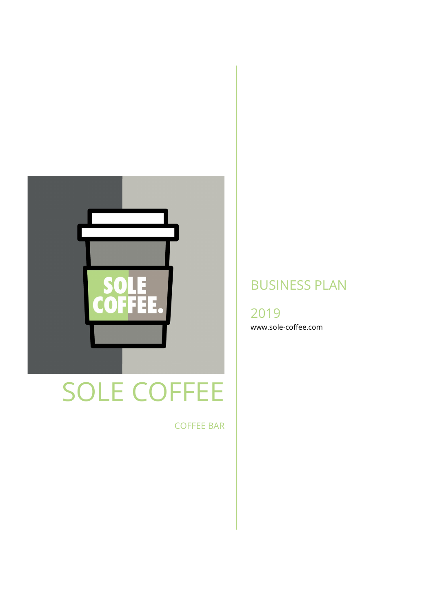

# SOLE COFFEE

COFFEE BAR

# BUSINESS PLAN

2019 www.sole-coffee.com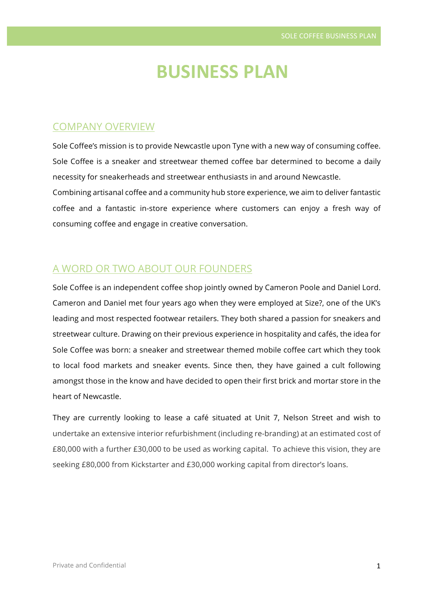# **BUSINESS PLAN**

### COMPANY OVERVIEW

Sole Coffee's mission is to provide Newcastle upon Tyne with a new way of consuming coffee. Sole Coffee is a sneaker and streetwear themed coffee bar determined to become a daily necessity for sneakerheads and streetwear enthusiasts in and around Newcastle. Combining artisanal coffee and a community hub store experience, we aim to deliver fantastic coffee and a fantastic in-store experience where customers can enjoy a fresh way of consuming coffee and engage in creative conversation.

#### A WORD OR TWO ABOUT OUR FOUNDERS

Sole Coffee is an independent coffee shop jointly owned by Cameron Poole and Daniel Lord. Cameron and Daniel met four years ago when they were employed at Size?, one of the UK's leading and most respected footwear retailers. They both shared a passion for sneakers and streetwear culture. Drawing on their previous experience in hospitality and cafés, the idea for Sole Coffee was born: a sneaker and streetwear themed mobile coffee cart which they took to local food markets and sneaker events. Since then, they have gained a cult following amongst those in the know and have decided to open their first brick and mortar store in the heart of Newcastle.

They are currently looking to lease a café situated at Unit 7, Nelson Street and wish to undertake an extensive interior refurbishment (including re-branding) at an estimated cost of £80,000 with a further £30,000 to be used as working capital. To achieve this vision, they are seeking £80,000 from Kickstarter and £30,000 working capital from director's loans.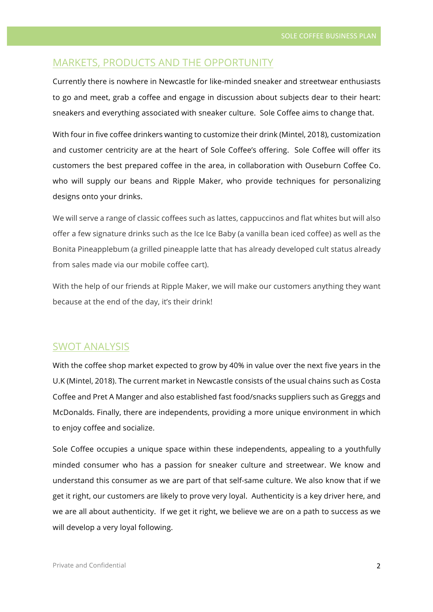# MARKETS, PRODUCTS AND THE OPPORTUNITY

Currently there is nowhere in Newcastle for like-minded sneaker and streetwear enthusiasts to go and meet, grab a coffee and engage in discussion about subjects dear to their heart: sneakers and everything associated with sneaker culture. Sole Coffee aims to change that.

With four in five coffee drinkers wanting to customize their drink (Mintel, 2018), customization and customer centricity are at the heart of Sole Coffee's offering. Sole Coffee will offer its customers the best prepared coffee in the area, in collaboration with Ouseburn Coffee Co. who will supply our beans and Ripple Maker, who provide techniques for personalizing designs onto your drinks.

We will serve a range of classic coffees such as lattes, cappuccinos and flat whites but will also offer a few signature drinks such as the Ice Ice Baby (a vanilla bean iced coffee) as well as the Bonita Pineapplebum (a grilled pineapple latte that has already developed cult status already from sales made via our mobile coffee cart).

With the help of our friends at Ripple Maker, we will make our customers anything they want because at the end of the day, it's their drink!

#### SWOT ANALYSIS

With the coffee shop market expected to grow by 40% in value over the next five years in the U.K (Mintel, 2018). The current market in Newcastle consists of the usual chains such as Costa Coffee and Pret A Manger and also established fast food/snacks suppliers such as Greggs and McDonalds. Finally, there are independents, providing a more unique environment in which to enjoy coffee and socialize.

Sole Coffee occupies a unique space within these independents, appealing to a youthfully minded consumer who has a passion for sneaker culture and streetwear. We know and understand this consumer as we are part of that self-same culture. We also know that if we get it right, our customers are likely to prove very loyal. Authenticity is a key driver here, and we are all about authenticity. If we get it right, we believe we are on a path to success as we will develop a very loyal following.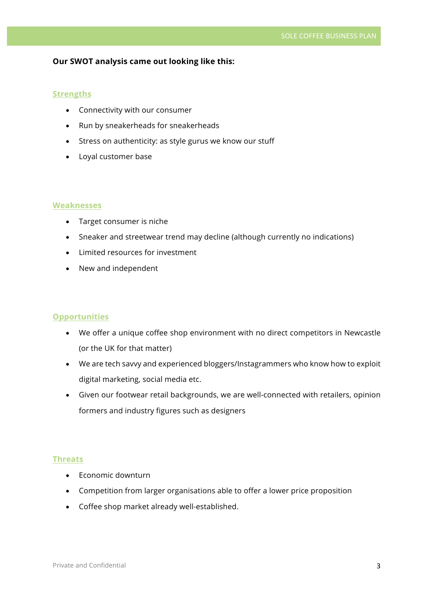#### **Our SWOT analysis came out looking like this:**

#### **Strengths**

- Connectivity with our consumer
- Run by sneakerheads for sneakerheads
- Stress on authenticity: as style gurus we know our stuff
- Loyal customer base

#### **Weaknesses**

- Target consumer is niche
- Sneaker and streetwear trend may decline (although currently no indications)
- Limited resources for investment
- New and independent

#### **Opportunities**

- We offer a unique coffee shop environment with no direct competitors in Newcastle (or the UK for that matter)
- We are tech savvy and experienced bloggers/Instagrammers who know how to exploit digital marketing, social media etc.
- Given our footwear retail backgrounds, we are well-connected with retailers, opinion formers and industry figures such as designers

#### **Threats**

- Economic downturn
- Competition from larger organisations able to offer a lower price proposition
- Coffee shop market already well-established.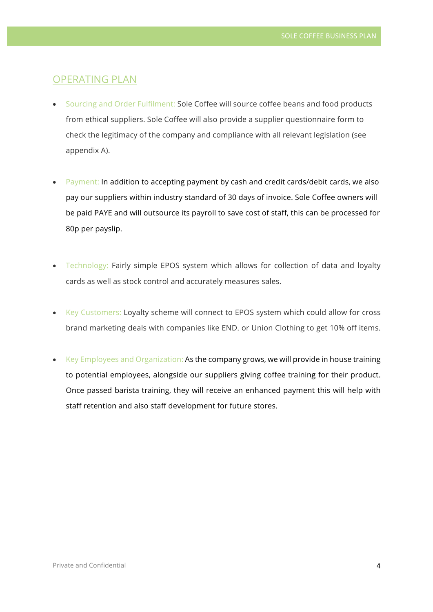#### OPERATING PLAN

- Sourcing and Order Fulfilment: Sole Coffee will source coffee beans and food products from ethical suppliers. Sole Coffee will also provide a supplier questionnaire form to check the legitimacy of the company and compliance with all relevant legislation (see appendix A).
- Payment: In addition to accepting payment by cash and credit cards/debit cards, we also pay our suppliers within industry standard of 30 days of invoice. Sole Coffee owners will be paid PAYE and will outsource its payroll to save cost of staff, this can be processed for 80p per payslip.
- Technology: Fairly simple EPOS system which allows for collection of data and loyalty cards as well as stock control and accurately measures sales.
- Key Customers: Loyalty scheme will connect to EPOS system which could allow for cross brand marketing deals with companies like END. or Union Clothing to get 10% off items.
- Key Employees and Organization: As the company grows, we will provide in house training to potential employees, alongside our suppliers giving coffee training for their product. Once passed barista training, they will receive an enhanced payment this will help with staff retention and also staff development for future stores.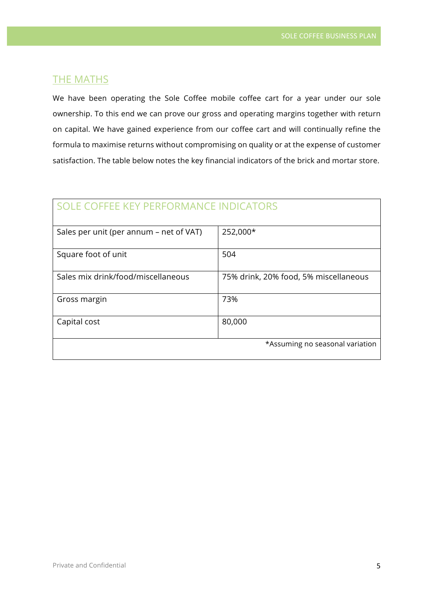## **THE MATHS**

We have been operating the Sole Coffee mobile coffee cart for a year under our sole ownership. To this end we can prove our gross and operating margins together with return on capital. We have gained experience from our coffee cart and will continually refine the formula to maximise returns without compromising on quality or at the expense of customer satisfaction. The table below notes the key financial indicators of the brick and mortar store.

| SOLE COFFEE KEY PERFORMANCE INDICATORS  |                                       |
|-----------------------------------------|---------------------------------------|
| Sales per unit (per annum – net of VAT) | 252,000*                              |
| Square foot of unit                     | 504                                   |
| Sales mix drink/food/miscellaneous      | 75% drink, 20% food, 5% miscellaneous |
| Gross margin                            | 73%                                   |
| Capital cost                            | 80,000                                |
|                                         | *Assuming no seasonal variation       |

# Private and Confidential 5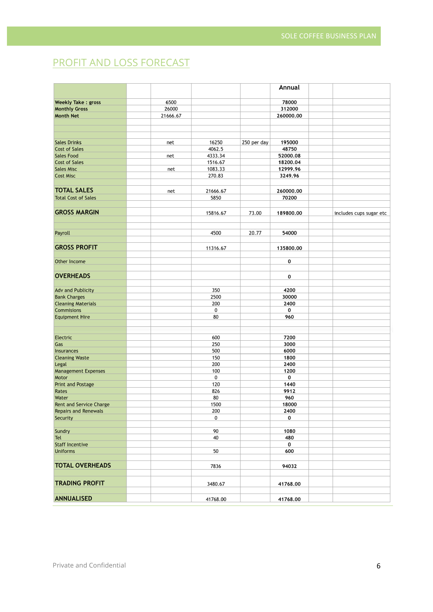# PROFIT AND LOSS FORECAST

|                             |          |          |             | Annual    |                         |
|-----------------------------|----------|----------|-------------|-----------|-------------------------|
| <b>Weekly Take: gross</b>   | 6500     |          |             | 78000     |                         |
| <b>Monthly Gross</b>        | 26000    |          |             | 312000    |                         |
| <b>Month Net</b>            | 21666.67 |          |             | 260000.00 |                         |
|                             |          |          |             |           |                         |
|                             |          |          |             |           |                         |
|                             |          |          |             |           |                         |
| <b>Sales Drinks</b>         | net      | 16250    | 250 per day | 195000    |                         |
| <b>Cost of Sales</b>        |          | 4062.5   |             | 48750     |                         |
| <b>Sales Food</b>           | net      | 4333.34  |             | 52000.08  |                         |
| <b>Cost of Sales</b>        |          | 1516.67  |             | 18200.04  |                         |
| <b>Sales Misc</b>           | net      | 1083.33  |             | 12999.96  |                         |
| <b>Cost Misc</b>            |          | 270.83   |             | 3249.96   |                         |
|                             |          |          |             |           |                         |
| <b>TOTAL SALES</b>          | net      | 21666.67 |             | 260000.00 |                         |
| <b>Total Cost of Sales</b>  |          | 5850     |             | 70200     |                         |
|                             |          |          |             |           |                         |
| <b>GROSS MARGIN</b>         |          | 15816.67 | 73.00       | 189800.00 | includes cups sugar etc |
|                             |          |          |             |           |                         |
| Payroll                     |          | 4500     | 20.77       | 54000     |                         |
|                             |          |          |             |           |                         |
| <b>GROSS PROFIT</b>         |          | 11316.67 |             | 135800.00 |                         |
|                             |          |          |             |           |                         |
| Other Income                |          |          |             | 0         |                         |
|                             |          |          |             |           |                         |
| <b>OVERHEADS</b>            |          |          |             | 0         |                         |
|                             |          |          |             |           |                         |
| <b>Adv and Publicity</b>    |          | 350      |             | 4200      |                         |
| <b>Bank Charges</b>         |          | 2500     |             | 30000     |                         |
| <b>Cleaning Materials</b>   |          | 200      |             | 2400      |                         |
| <b>Commisions</b>           |          | 0        |             | 0         |                         |
| <b>Equipment Hire</b>       |          | 80       |             | 960       |                         |
|                             |          |          |             |           |                         |
|                             |          |          |             |           |                         |
| Electric                    |          | 600      |             | 7200      |                         |
| Gas                         |          | 250      |             | 3000      |                         |
| <b>Insurances</b>           |          | 500      |             | 6000      |                         |
| <b>Cleaning Waste</b>       |          | 150      |             | 1800      |                         |
| Legal                       |          | 200      |             | 2400      |                         |
| <b>Management Expenses</b>  |          | 100      |             | 1200      |                         |
| Motor                       |          | 0        |             | 0         |                         |
| Print and Postage           |          | 120      |             | 1440      |                         |
| Rates                       |          | 826      |             | 9912      |                         |
| Water                       |          | 80       |             | 960       |                         |
| Rent and Service Charge     |          | 1500     |             | 18000     |                         |
| <b>Repairs and Renewals</b> |          | 200      |             | 2400      |                         |
| Security                    |          | 0        |             | 0         |                         |
| Sundry                      |          | 90       |             | 1080      |                         |
| Tel                         |          | 40       |             | 480       |                         |
| <b>Staff Incentive</b>      |          |          |             | 0         |                         |
| <b>Uniforms</b>             |          | 50       |             | 600       |                         |
|                             |          |          |             |           |                         |
| <b>TOTAL OVERHEADS</b>      |          | 7836     |             | 94032     |                         |
|                             |          |          |             |           |                         |
| <b>TRADING PROFIT</b>       |          |          |             |           |                         |
|                             |          | 3480.67  |             | 41768.00  |                         |
| <b>ANNUALISED</b>           |          | 41768.00 |             | 41768.00  |                         |
|                             |          |          |             |           |                         |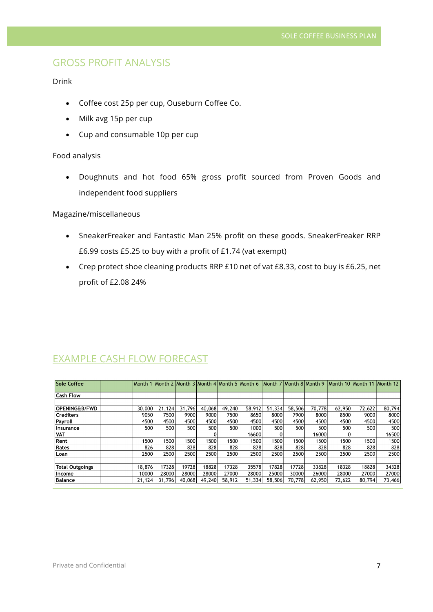# GROSS PROFIT ANALYSIS

#### Drink

- Coffee cost 25p per cup, Ouseburn Coffee Co.
- Milk avg 15p per cup
- Cup and consumable 10p per cup

#### Food analysis

• Doughnuts and hot food 65% gross profit sourced from Proven Goods and independent food suppliers

#### Magazine/miscellaneous

- SneakerFreaker and Fantastic Man 25% profit on these goods. SneakerFreaker RRP £6.99 costs £5.25 to buy with a profit of £1.74 (vat exempt)
- Crep protect shoe cleaning products RRP £10 net of vat £8.33, cost to buy is £6.25, net profit of £2.08 24%

| <b>Sole Coffee</b>       |        |        |        |        |        |        |        |        |        | Month 1 Month 2 Month 3 Month 4 Month 5 Month 6 Month 7 Month 8 Month 9 Month 10 Month 11 Month 12 |        |        |
|--------------------------|--------|--------|--------|--------|--------|--------|--------|--------|--------|----------------------------------------------------------------------------------------------------|--------|--------|
| <b>Cash Flow</b>         |        |        |        |        |        |        |        |        |        |                                                                                                    |        |        |
|                          |        |        |        |        |        |        |        |        |        |                                                                                                    |        |        |
| <b>OPENING&amp;B/FWD</b> | 30,000 | 21,124 | 31,796 | 40,068 | 49,240 | 58,912 | 51,334 | 58,506 | 70,778 | 62,950                                                                                             | 72,622 | 80,794 |
| <b>Crediters</b>         | 9050   | 7500   | 9900   | 9000   | 7500   | 8650   | 8000   | 7900   | 8000   | 8500                                                                                               | 9000   | 8000   |
| Payroll                  | 4500   | 4500   | 4500   | 4500   | 4500   | 4500   | 4500   | 4500   | 4500   | 4500                                                                                               | 4500   | 4500   |
| Insurance                | 500    | 500    | 500l   | 500    | 500    | 1000   | 500    | 500    | 500    | 500                                                                                                | 500    | 500    |
| <b>VAT</b>               |        |        |        |        |        | 16600  |        |        | 16000  |                                                                                                    |        | 16500  |
| Rent                     | 1500   | 1500   | 1500   | 1500   | 1500   | 1500   | 1500   | 1500   | 1500   | 1500                                                                                               | 1500   | 1500   |
| Rates                    | 826    | 828    | 828    | 828    | 828    | 828    | 828    | 828    | 828    | 828                                                                                                | 828    | 828    |
| Loan                     | 2500   | 2500   | 2500   | 2500   | 2500   | 2500   | 2500   | 2500   | 2500   | 2500                                                                                               | 2500   | 2500   |
|                          |        |        |        |        |        |        |        |        |        |                                                                                                    |        |        |
| <b>Total Outgoings</b>   | 18,876 | 17328  | 19728  | 18828  | 17328  | 35578  | 17828  | 17728  | 33828  | 18328                                                                                              | 18828  | 34328  |
| Income                   | 10000  | 28000  | 28000  | 28000  | 27000  | 28000  | 25000  | 30000  | 26000  | 28000                                                                                              | 27000  | 27000  |
| Balance                  | 21,124 | 31,796 | 40,068 | 49,240 | 58,912 | 51,334 | 58,506 | 70,778 | 62,950 | 72,622                                                                                             | 80,794 | 73,466 |

## EXAMPLE CASH FLOW FORECAST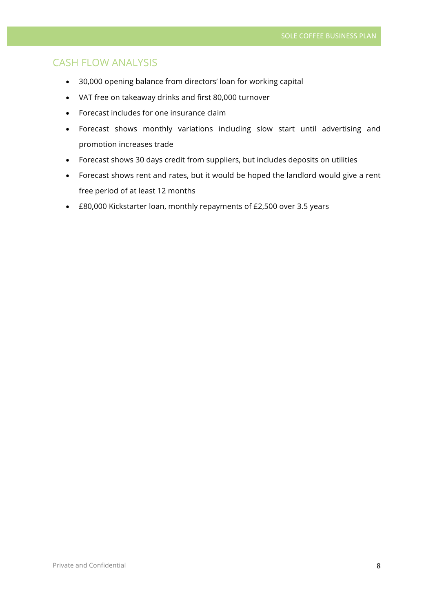# CASH FLOW ANALYSIS

- 30,000 opening balance from directors' loan for working capital
- VAT free on takeaway drinks and first 80,000 turnover
- Forecast includes for one insurance claim
- Forecast shows monthly variations including slow start until advertising and promotion increases trade
- Forecast shows 30 days credit from suppliers, but includes deposits on utilities
- Forecast shows rent and rates, but it would be hoped the landlord would give a rent free period of at least 12 months
- £80,000 Kickstarter loan, monthly repayments of £2,500 over 3.5 years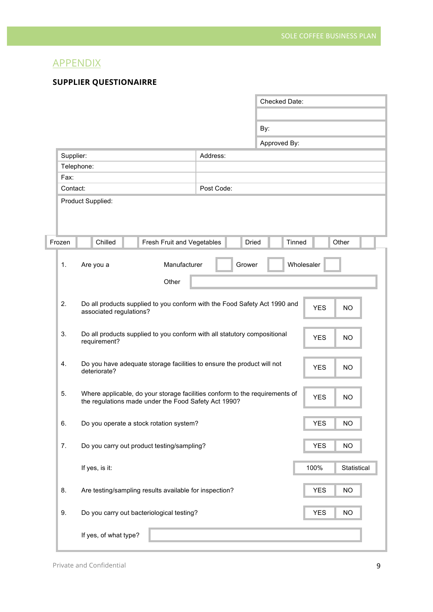# APPENDIX

#### **SUPPLIER QUESTIONAIRRE**

|           |                         |                                                                                                                                     |            |        | <b>Checked Date:</b> |            |            |             |
|-----------|-------------------------|-------------------------------------------------------------------------------------------------------------------------------------|------------|--------|----------------------|------------|------------|-------------|
|           |                         |                                                                                                                                     |            |        |                      |            |            |             |
|           |                         |                                                                                                                                     |            | By:    |                      |            |            |             |
|           |                         |                                                                                                                                     |            |        | Approved By:         |            |            |             |
| Supplier: |                         |                                                                                                                                     | Address:   |        |                      |            |            |             |
|           | Telephone:              |                                                                                                                                     |            |        |                      |            |            |             |
| Fax:      |                         |                                                                                                                                     |            |        |                      |            |            |             |
| Contact:  |                         |                                                                                                                                     | Post Code: |        |                      |            |            |             |
|           | Product Supplied:       |                                                                                                                                     |            |        |                      |            |            |             |
| Frozen    | Chilled                 | Fresh Fruit and Vegetables                                                                                                          |            | Dried  |                      | Tinned     |            | Other       |
| 1.        | Are you a               | Manufacturer                                                                                                                        |            | Grower |                      | Wholesaler |            |             |
|           |                         | Other                                                                                                                               |            |        |                      |            |            |             |
| 2.        | associated regulations? | Do all products supplied to you conform with the Food Safety Act 1990 and                                                           |            |        |                      |            | <b>YES</b> | <b>NO</b>   |
| 3.        | requirement?            | Do all products supplied to you conform with all statutory compositional                                                            |            |        |                      |            | <b>YES</b> | <b>NO</b>   |
|           |                         |                                                                                                                                     |            |        |                      |            |            |             |
| 4.        | deteriorate?            | Do you have adequate storage facilities to ensure the product will not                                                              |            |        |                      |            | <b>YES</b> | <b>NO</b>   |
| 5.        |                         | Where applicable, do your storage facilities conform to the requirements of<br>the regulations made under the Food Safety Act 1990? |            |        |                      |            | <b>YES</b> | <b>NO</b>   |
| 6.        |                         | Do you operate a stock rotation system?                                                                                             |            |        |                      |            | <b>YES</b> | <b>NO</b>   |
| 7.        |                         | Do you carry out product testing/sampling?                                                                                          |            |        |                      |            | <b>YES</b> | <b>NO</b>   |
|           | If yes, is it:          |                                                                                                                                     |            |        |                      |            | 100%       | Statistical |
| 8.        |                         | Are testing/sampling results available for inspection?                                                                              |            |        |                      |            | <b>YES</b> | <b>NO</b>   |
| 9.        |                         | Do you carry out bacteriological testing?                                                                                           |            |        |                      |            | <b>YES</b> | <b>NO</b>   |